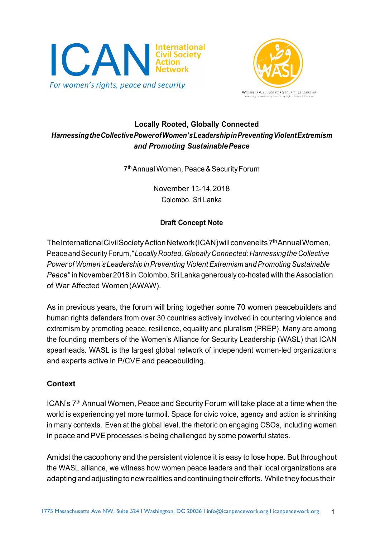



## **Locally Rooted, Globally Connected**  *HarnessingtheCollectivePowerofWomen'sLeadershipinPreventingViolentExtremism and Promoting SustainablePeace*

7thAnnual Women, Peace&SecurityForum

November 12-14,2018 Colombo, Sri Lanka

# **Draft Concept Note**

The International Civil Society Action Network (ICAN) will conveneits 7<sup>th</sup> Annual Women, PeaceandSecurityForum,"*LocallyRooted, GloballyConnected: Harnessingthe Collective Power* of *Women's* Leadership in Preventing Violent Extremism and Promoting Sustainable *Peace"* in November 2018 in Colombo, Sri Lanka generously co-hosted with the Association of War Affected Women(AWAW).

As in previous years, the forum will bring together some 70 women peacebuilders and human rights defenders from over 30 countries actively involved in countering violence and extremism by promoting peace, resilience, equality and pluralism (PREP). Many are among the founding members of the Women's Alliance for Security Leadership (WASL) that ICAN spearheads. WASL is the largest global network of independent women-led organizations and experts active in P/CVE and peacebuilding.

### **Context**

ICAN's 7<sup>th</sup> Annual Women, Peace and Security Forum will take place at a time when the world is experiencing yet more turmoil. Space for civic voice, agency and action is shrinking in many contexts. Even at the global level, the rhetoric on engaging CSOs, including women in peace and PVE processes is being challenged by some powerful states.

Amidst the cacophony and the persistent violence it is easy to lose hope. But throughout the WASL alliance, we witness how women peace leaders and their local organizations are adapting and adjusting to new realities and continuing their efforts. While they focustheir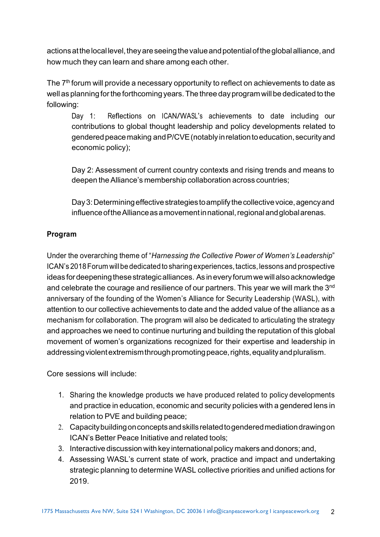actions at the local level, they are seeing the value and potential of the global alliance, and how much they can learn and share among each other.

The 7<sup>th</sup> forum will provide a necessary opportunity to reflect on achievements to date as well as planning for the forthcoming years. The three day program will be dedicated to the following:

 Day 1: Reflections on ICAN/WASL's achievements to date including our contributions to global thought leadership and policy developments related to gendered peace making and P/CVE (notably in relation to education, security and economic policy);

 Day 2: Assessment of current country contexts and rising trends and means to deepen the Alliance's membership collaboration across countries;

Day 3: Determining effective strategies to amplify the collective voice, agency and influence of the Alliance as a movement in national, regional and global arenas.

### **Program**

Under the overarching theme of "*Harnessing the Collective Power of Women's Leadership*" ICAN's 2018Forum willbe dedicated to sharing experiences,tactics,lessons and prospective ideas for deepening these strategic alliances. As in every forum we will also acknowledge and celebrate the courage and resilience of our partners. This year we will mark the 3<sup>nd</sup> anniversary of the founding of the Women's Alliance for Security Leadership (WASL), with attention to our collective achievements to date and the added value of the alliance as a mechanism for collaboration. The program will also be dedicated to articulating the strategy and approaches we need to continue nurturing and building the reputation of this global movement of women's organizations recognized for their expertise and leadership in addressing violent extremism through promoting peace, rights, equality and pluralism.

Core sessions will include:

- 1. Sharing the knowledge products we have produced related to policy developments and practice in education, economic and security policies with a gendered lens in relation to PVE and building peace;
- 2. Capacitybuildingonconceptsandskillsrelatedtogenderedmediationdrawingon ICAN's Better Peace Initiative and related tools;
- 3. Interactive discussion with key internationalpolicy makers and donors; and,
- 4. Assessing WASL's current state of work, practice and impact and undertaking strategic planning to determine WASL collective priorities and unified actions for 2019.